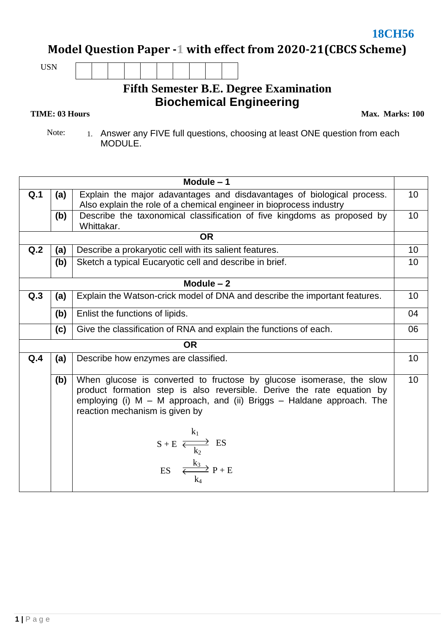**Model Question Paper -1 with effect from 2020-21(CBCS Scheme)**

USN

## **Fifth Semester B.E. Degree Examination Biochemical Engineering**

## **TIME: 03 Hours**

**Max. Marks: 100**

Note: 1. Answer any FIVE full questions, choosing at least ONE question from each MODULE.

| Module $-1$ |                                                               |                                                                                                                                                                                                                                                               |                 |  |  |  |  |  |  |
|-------------|---------------------------------------------------------------|---------------------------------------------------------------------------------------------------------------------------------------------------------------------------------------------------------------------------------------------------------------|-----------------|--|--|--|--|--|--|
| Q.1         | (a)                                                           | Explain the major adavantages and disdavantages of biological process.<br>Also explain the role of a chemical engineer in bioprocess industry                                                                                                                 |                 |  |  |  |  |  |  |
|             | (b)                                                           | Describe the taxonomical classification of five kingdoms as proposed by<br>Whittakar.                                                                                                                                                                         | 10 <sup>1</sup> |  |  |  |  |  |  |
|             |                                                               | <b>OR</b>                                                                                                                                                                                                                                                     |                 |  |  |  |  |  |  |
| Q.2         | Describe a prokaryotic cell with its salient features.<br>(a) |                                                                                                                                                                                                                                                               |                 |  |  |  |  |  |  |
|             | (b)                                                           | Sketch a typical Eucaryotic cell and describe in brief.                                                                                                                                                                                                       |                 |  |  |  |  |  |  |
| Module $-2$ |                                                               |                                                                                                                                                                                                                                                               |                 |  |  |  |  |  |  |
| Q.3         | (a)                                                           | Explain the Watson-crick model of DNA and describe the important features.                                                                                                                                                                                    | 10 <sup>1</sup> |  |  |  |  |  |  |
|             | (b)                                                           | Enlist the functions of lipids.                                                                                                                                                                                                                               | 04              |  |  |  |  |  |  |
|             | (c)                                                           | Give the classification of RNA and explain the functions of each.                                                                                                                                                                                             |                 |  |  |  |  |  |  |
|             |                                                               | <b>OR</b>                                                                                                                                                                                                                                                     |                 |  |  |  |  |  |  |
| Q.4         | (a)                                                           | Describe how enzymes are classified.                                                                                                                                                                                                                          | 10 <sup>1</sup> |  |  |  |  |  |  |
|             | (b)                                                           | When glucose is converted to fructose by glucose isomerase, the slow<br>product formation step is also reversible. Derive the rate equation by<br>employing (i) $M - M$ approach, and (ii) Briggs $-$ Haldane approach. The<br>reaction mechanism is given by | 10              |  |  |  |  |  |  |
|             |                                                               | $k_1$<br>$S + E \xrightarrow[k_2]{A_1} ES$<br>ES $\frac{k_3}{k_4} P + E$                                                                                                                                                                                      |                 |  |  |  |  |  |  |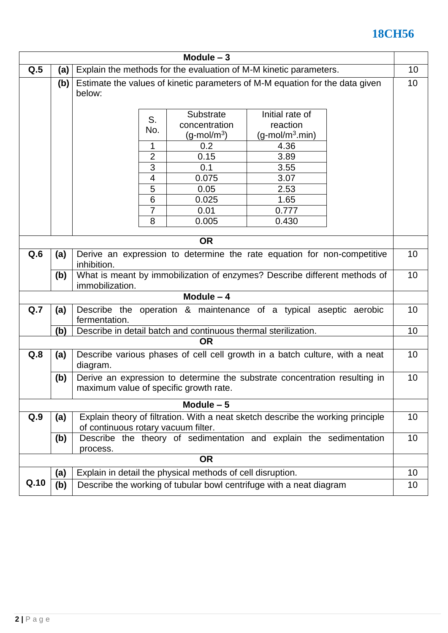## $18CH56$

| Module $-3$ |                                                                                        |                                                                                  |                          |                      |                                                                              |  |    |  |  |
|-------------|----------------------------------------------------------------------------------------|----------------------------------------------------------------------------------|--------------------------|----------------------|------------------------------------------------------------------------------|--|----|--|--|
| Q.5         | (a)                                                                                    | Explain the methods for the evaluation of M-M kinetic parameters.                |                          |                      |                                                                              |  |    |  |  |
|             | (b)                                                                                    |                                                                                  |                          |                      | Estimate the values of kinetic parameters of M-M equation for the data given |  | 10 |  |  |
|             |                                                                                        | below:                                                                           |                          |                      |                                                                              |  |    |  |  |
|             |                                                                                        |                                                                                  |                          |                      |                                                                              |  |    |  |  |
|             |                                                                                        |                                                                                  | S.                       | <b>Substrate</b>     | Initial rate of                                                              |  |    |  |  |
|             |                                                                                        |                                                                                  | No.                      | concentration        | reaction                                                                     |  |    |  |  |
|             |                                                                                        |                                                                                  |                          | $(g\text{-mol/m}^3)$ | $(g$ -mol/m <sup>3</sup> .min)                                               |  |    |  |  |
|             |                                                                                        |                                                                                  | 1                        | 0.2<br>0.15          | 4.36<br>3.89                                                                 |  |    |  |  |
|             |                                                                                        |                                                                                  | $\overline{2}$<br>3      | 0.1                  | 3.55                                                                         |  |    |  |  |
|             |                                                                                        |                                                                                  | $\overline{\mathcal{A}}$ | 0.075                | 3.07                                                                         |  |    |  |  |
|             |                                                                                        |                                                                                  | 5                        | 0.05                 | 2.53                                                                         |  |    |  |  |
|             |                                                                                        |                                                                                  | 6                        | 0.025                | 1.65                                                                         |  |    |  |  |
|             |                                                                                        |                                                                                  | 7                        | 0.01                 | 0.777                                                                        |  |    |  |  |
|             |                                                                                        |                                                                                  | 8                        | 0.005                | 0.430                                                                        |  |    |  |  |
|             |                                                                                        |                                                                                  |                          |                      |                                                                              |  |    |  |  |
| <b>OR</b>   |                                                                                        |                                                                                  |                          |                      |                                                                              |  |    |  |  |
| Q.6         | (a)                                                                                    | Derive an expression to determine the rate equation for non-competitive          |                          |                      |                                                                              |  |    |  |  |
|             |                                                                                        | inhibition.                                                                      |                          |                      |                                                                              |  |    |  |  |
|             | (b)                                                                                    | What is meant by immobilization of enzymes? Describe different methods of        |                          |                      |                                                                              |  |    |  |  |
|             |                                                                                        | immobilization.                                                                  |                          |                      |                                                                              |  |    |  |  |
| Module $-4$ |                                                                                        |                                                                                  |                          |                      |                                                                              |  |    |  |  |
| Q.7         | (a)                                                                                    | Describe the operation & maintenance of a typical aseptic aerobic                |                          |                      |                                                                              |  |    |  |  |
|             |                                                                                        | fermentation.<br>10                                                              |                          |                      |                                                                              |  |    |  |  |
|             | (b)                                                                                    | Describe in detail batch and continuous thermal sterilization.<br><b>OR</b>      |                          |                      |                                                                              |  |    |  |  |
|             |                                                                                        |                                                                                  |                          |                      |                                                                              |  | 10 |  |  |
| Q.8         | (a)                                                                                    | Describe various phases of cell cell growth in a batch culture, with a neat      |                          |                      |                                                                              |  |    |  |  |
|             |                                                                                        | diagram.                                                                         |                          |                      |                                                                              |  |    |  |  |
|             | (b)                                                                                    | Derive an expression to determine the substrate concentration resulting in<br>10 |                          |                      |                                                                              |  |    |  |  |
|             |                                                                                        | maximum value of specific growth rate.                                           |                          |                      |                                                                              |  |    |  |  |
| Module $-5$ |                                                                                        |                                                                                  |                          |                      |                                                                              |  |    |  |  |
| Q.9         | Explain theory of filtration. With a neat sketch describe the working principle<br>(a) |                                                                                  |                          |                      |                                                                              |  | 10 |  |  |
|             |                                                                                        | of continuous rotary vacuum filter.                                              |                          |                      |                                                                              |  |    |  |  |
|             | (b)                                                                                    | Describe the theory of sedimentation and explain the sedimentation<br>10         |                          |                      |                                                                              |  |    |  |  |
|             |                                                                                        | process.                                                                         |                          |                      |                                                                              |  |    |  |  |
| <b>OR</b>   |                                                                                        |                                                                                  |                          |                      |                                                                              |  |    |  |  |
|             | (a)                                                                                    | Explain in detail the physical methods of cell disruption.                       |                          |                      |                                                                              |  | 10 |  |  |
| Q.10        | (b)<br>Describe the working of tubular bowl centrifuge with a neat diagram             |                                                                                  |                          |                      |                                                                              |  | 10 |  |  |